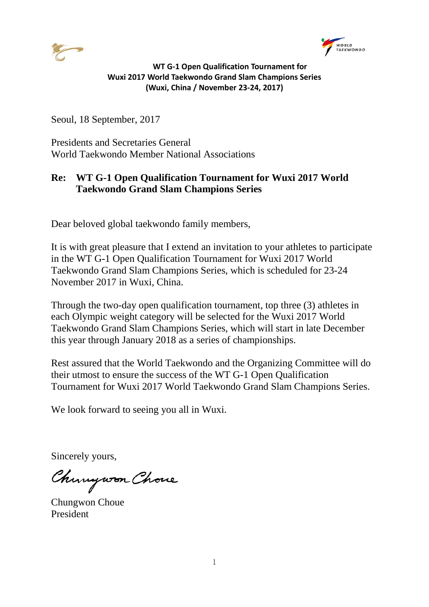



Seoul, 18 September, 2017

Presidents and Secretaries General World Taekwondo Member National Associations

## **Re: WT G-1 Open Qualification Tournament for Wuxi 2017 World Taekwondo Grand Slam Champions Series**

Dear beloved global taekwondo family members,

It is with great pleasure that I extend an invitation to your athletes to participate in the WT G-1 Open Qualification Tournament for Wuxi 2017 World Taekwondo Grand Slam Champions Series, which is scheduled for 23-24 November 2017 in Wuxi, China.

Through the two-day open qualification tournament, top three (3) athletes in each Olympic weight category will be selected for the Wuxi 2017 World Taekwondo Grand Slam Champions Series, which will start in late December this year through January 2018 as a series of championships.

Rest assured that the World Taekwondo and the Organizing Committee will do their utmost to ensure the success of the WT G-1 Open Qualification Tournament for Wuxi 2017 World Taekwondo Grand Slam Champions Series.

We look forward to seeing you all in Wuxi.

Sincerely yours,

Chungwon Chove

Chungwon Choue President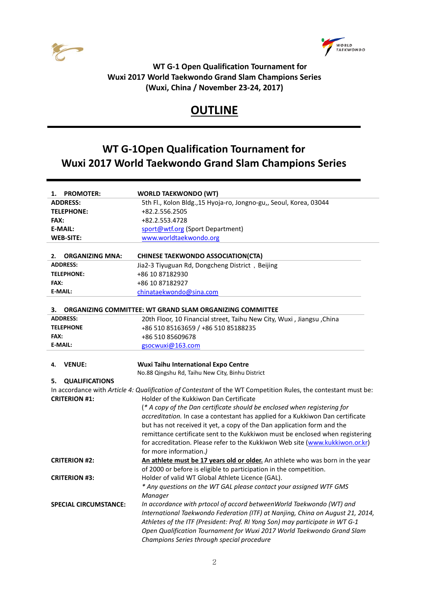



# **OUTLINE**

## **WT G-1Open Qualification Tournament for Wuxi 2017 World Taekwondo Grand Slam Champions Series**

| <b>PROMOTER:</b><br>1.       | <b>WORLD TAEKWONDO (WT)</b>                                                                                    |  |  |
|------------------------------|----------------------------------------------------------------------------------------------------------------|--|--|
| <b>ADDRESS:</b>              | 5th Fl., Kolon Bldg., 15 Hyoja-ro, Jongno-gu,, Seoul, Korea, 03044                                             |  |  |
| <b>TELEPHONE:</b>            | +82.2.556.2505                                                                                                 |  |  |
| <b>FAX:</b>                  | +82.2.553.4728                                                                                                 |  |  |
| <b>E-MAIL:</b>               | sport@wtf.org (Sport Department)                                                                               |  |  |
| <b>WEB-SITE:</b>             | www.worldtaekwondo.org                                                                                         |  |  |
|                              |                                                                                                                |  |  |
| <b>ORGANIZING MNA:</b><br>2. | <b>CHINESE TAEKWONDO ASSOCIATION(CTA)</b>                                                                      |  |  |
| <b>ADDRESS:</b>              | Jia2-3 Tiyuguan Rd, Dongcheng District, Beijing                                                                |  |  |
| <b>TELEPHONE:</b>            | +86 10 87182930                                                                                                |  |  |
| <b>FAX:</b>                  | +86 10 87182927                                                                                                |  |  |
| <b>E-MAIL:</b>               | chinataekwondo@sina.com                                                                                        |  |  |
|                              |                                                                                                                |  |  |
| 3.                           | ORGANIZING COMMITTEE: WT GRAND SLAM ORGANIZING COMMITTEE                                                       |  |  |
| <b>ADDRESS:</b>              | 20th Floor, 10 Financial street, Taihu New City, Wuxi, Jiangsu, China                                          |  |  |
| <b>TELEPHONE</b>             | +86 510 85163659 / +86 510 85188235                                                                            |  |  |
| FAX:                         | +86 510 85609678                                                                                               |  |  |
| <b>E-MAIL:</b>               | gsocwuxi@163.com                                                                                               |  |  |
|                              |                                                                                                                |  |  |
| <b>VENUE:</b><br>4.          | <b>Wuxi Taihu International Expo Centre</b>                                                                    |  |  |
|                              | No.88 Qingshu Rd, Taihu New City, Binhu District                                                               |  |  |
| <b>QUALIFICATIONS</b><br>5.  |                                                                                                                |  |  |
|                              | In accordance with Article 4: Qualification of Contestant of the WT Competition Rules, the contestant must be: |  |  |
| <b>CRITERION #1:</b>         | Holder of the Kukkiwon Dan Certificate                                                                         |  |  |
|                              | (* A copy of the Dan certificate should be enclosed when registering for                                       |  |  |
|                              | accreditation. In case a contestant has applied for a Kukkiwon Dan certificate                                 |  |  |
|                              | but has not received it yet, a copy of the Dan application form and the                                        |  |  |
|                              | remittance certificate sent to the Kukkiwon must be enclosed when registering                                  |  |  |
|                              | for accreditation. Please refer to the Kukkiwon Web site (www.kukkiwon.or.kr)                                  |  |  |
|                              | for more information.)                                                                                         |  |  |
| <b>CRITERION #2:</b>         | An athlete must be 17 years old or older. An athlete who was born in the year                                  |  |  |
|                              | of 2000 or before is eligible to participation in the competition.                                             |  |  |
| <b>CRITERION #3:</b>         | Holder of valid WT Global Athlete Licence (GAL).                                                               |  |  |
|                              | * Any questions on the WT GAL please contact your assigned WTF GMS                                             |  |  |
|                              | Manager                                                                                                        |  |  |
| <b>SPECIAL CIRCUMSTANCE:</b> | In accordance with prtocol of accord betweenWorld Taekwondo (WT) and                                           |  |  |
|                              | International Taekwondo Federation (ITF) at Nanjing, China on August 21, 2014,                                 |  |  |
|                              | Athletes of the ITF (President: Prof. RI Yong Son) may participate in WT G-1                                   |  |  |
|                              | Open Qualification Tournament for Wuxi 2017 World Taekwondo Grand Slam                                         |  |  |
|                              | Champions Series through special procedure                                                                     |  |  |
|                              |                                                                                                                |  |  |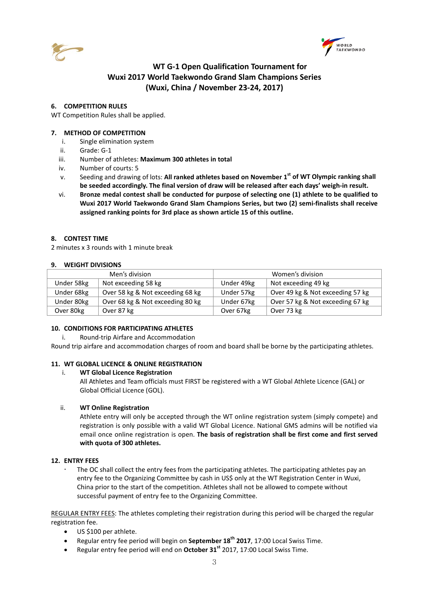



### **6. COMPETITION RULES**

WT Competition Rules shall be applied.

## **7. METHOD OF COMPETITION**

- i. Single elimination system
- ii. Grade: G-1
- iii. Number of athletes: **Maximum 300 athletes in total**
- iv. Number of courts: 5
- v. Seeding and drawing of lots: **All ranked athletes based on November 1 st of WT Olympic ranking shall be seeded accordingly. The final version of draw will be released after each days' weigh-in result.**
- vi. **Bronze medal contest shall be conducted for purpose of selecting one (1) athlete to be qualified to Wuxi 2017 World Taekwondo Grand Slam Champions Series, but two (2) semi-finalists shall receive assigned ranking points for 3rd place as shown article 15 of this outline.**

## **8. CONTEST TIME**

2 minutes x 3 rounds with 1 minute break

#### **9. WEIGHT DIVISIONS**

| Men's division |                                  | Women's division |                                  |
|----------------|----------------------------------|------------------|----------------------------------|
| Under 58kg     | Not exceeding 58 kg              | Under 49kg       | Not exceeding 49 kg              |
| Under 68kg     | Over 58 kg & Not exceeding 68 kg | Under 57kg       | Over 49 kg & Not exceeding 57 kg |
| Under 80kg     | Over 68 kg & Not exceeding 80 kg | Under 67kg       | Over 57 kg & Not exceeding 67 kg |
| Over 80kg      | Over 87 kg                       | Over 67kg        | Over 73 kg                       |

#### **10. CONDITIONS FOR PARTICIPATING ATHLETES**

i. Round-trip Airfare and Accommodation

Round trip airfare and accommodation charges of room and board shall be borne by the participating athletes.

#### **11. WT GLOBAL LICENCE & ONLINE REGISTRATION**

#### i. **WT Global Licence Registration**

All Athletes and Team officials must FIRST be registered with a WT Global Athlete Licence (GAL) or Global Official Licence (GOL).

#### ii. **WT Online Registration**

Athlete entry will only be accepted through the WT online registration system (simply compete) and registration is only possible with a valid WT Global Licence. National GMS admins will be notified via email once online registration is open. **The basis of registration shall be first come and first served with quota of 300 athletes.** 

#### **12. ENTRY FEES**

 The OC shall collect the entry fees from the participating athletes. The participating athletes pay an entry fee to the Organizing Committee by cash in US\$ only at the WT Registration Center in Wuxi, China prior to the start of the competition. Athletes shall not be allowed to compete without successful payment of entry fee to the Organizing Committee.

REGULAR ENTRY FEES: The athletes completing their registration during this period will be charged the regular registration fee.

- US \$100 per athlete.
- Regular entry fee period will begin on **September 18th 2017**, 17:00 Local Swiss Time.
- Regular entry fee period will end on **October 31st** 2017, 17:00 Local Swiss Time.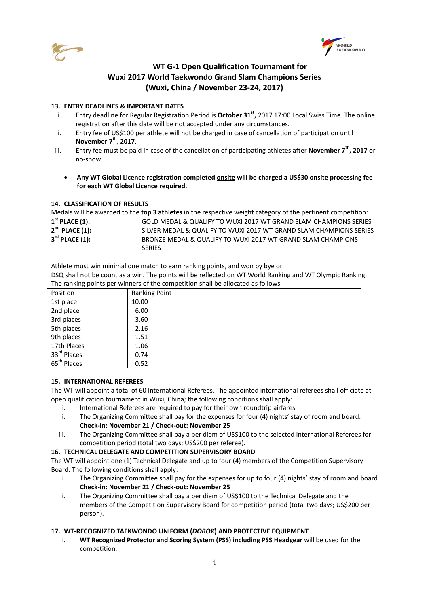



## **13. ENTRY DEADLINES & IMPORTANT DATES**

- i. Entry deadline for Regular Registration Period is **October 31st ,** 2017 17:00 Local Swiss Time. The online registration after this date will be not accepted under any circumstances.
- ii. Entry fee of US\$100 per athlete will not be charged in case of cancellation of participation until **November 7th**, **2017**.
- iii. Entry fee must be paid in case of the cancellation of participating athletes after **November 7th, 2017** or no-show.
	- **Any WT Global Licence registration completed onsite will be charged a US\$30 onsite processing fee for each WT Global Licence required.**

## **14. CLASSIFICATION OF RESULTS**

| Medals will be awarded to the <b>top 3 athletes</b> in the respective weight category of the pertinent competition: |                                                                    |  |  |
|---------------------------------------------------------------------------------------------------------------------|--------------------------------------------------------------------|--|--|
| $1st$ PLACE (1):                                                                                                    | GOLD MEDAL & QUALIFY TO WUXI 2017 WT GRAND SLAM CHAMPIONS SERIES   |  |  |
| $2nd$ PLACE (1):                                                                                                    | SILVER MEDAL & QUALIFY TO WUXI 2017 WT GRAND SLAM CHAMPIONS SERIES |  |  |
| $3^{\text{rd}}$ PLACE (1):                                                                                          | BRONZE MEDAL & QUALIFY TO WUXI 2017 WT GRAND SLAM CHAMPIONS        |  |  |
|                                                                                                                     | <b>SERIES</b>                                                      |  |  |

Athlete must win minimal one match to earn ranking points, and won by bye or

DSQ shall not be count as a win. The points will be reflected on WT World Ranking and WT Olympic Ranking. The ranking points per winners of the competition shall be allocated as follows.

| Position                | Ranking Point |
|-------------------------|---------------|
| 1st place               | 10.00         |
| 2nd place               | 6.00          |
| 3rd places              | 3.60          |
| 5th places              | 2.16          |
| 9th places              | 1.51          |
| 17th Places             | 1.06          |
| 33rd Places             | 0.74          |
| 65 <sup>th</sup> Places | 0.52          |

## **15. INTERNATIONAL REFEREES**

The WT will appoint a total of 60 International Referees. The appointed international referees shall officiate at open qualification tournament in Wuxi, China; the following conditions shall apply:

- i. International Referees are required to pay for their own roundtrip airfares.
- ii. The Organizing Committee shall pay for the expenses for four (4) nights' stay of room and board. **Check-in: November 21 / Check-out: November 25**
- iii. The Organizing Committee shall pay a per diem of US\$100 to the selected International Referees for competition period (total two days; US\$200 per referee).

## **16. TECHNICAL DELEGATE AND COMPETITION SUPERVISORY BOARD**

The WT will appoint one (1) Technical Delegate and up to four (4) members of the Competition Supervisory Board. The following conditions shall apply:

- i. The Organizing Committee shall pay for the expenses for up to four (4) nights' stay of room and board. **Check-in: November 21 / Check-out: November 25**
- ii. The Organizing Committee shall pay a per diem of US\$100 to the Technical Delegate and the members of the Competition Supervisory Board for competition period (total two days; US\$200 per person).

## **17. WT-RECOGNIZED TAEKWONDO UNIFORM (***DOBOK***) AND PROTECTIVE EQUIPMENT**

i. **WT Recognized Protector and Scoring System (PSS) including PSS Headgear** will be used for the competition.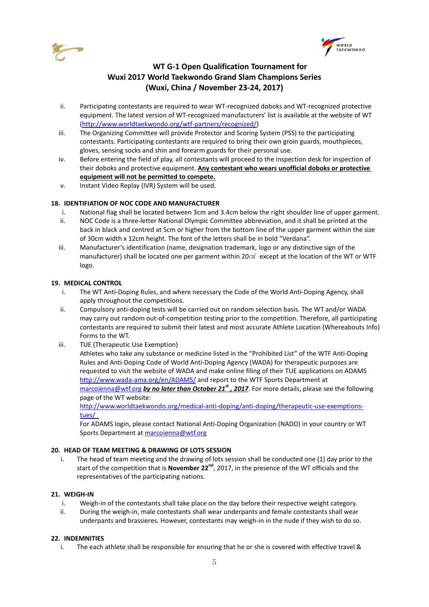



- ii. Participating contestants are required to wear WT-recognized doboks and WT-recognized protective equipment. The latest version of WT-recognized manufacturers' list is available at the website of WT [\(http://www.worldtaekwondo.org/wtf-partners/recognized/\)](http://www.worldtaekwondo.org/wtf-partners/recognized/)
- iii. The Organizing Committee will provide Protector and Scoring System (PSS) to the participating contestants. Participating contestants are required to bring their own groin guards, mouthpieces, gloves, sensing socks and shin and forearm guards for their personal use.
- iv. Before entering the field of play, all contestants will proceed to the inspection desk for inspection of their doboks and protective equipment. **Any contestant who wears unofficial doboks or protective equipment will not be permitted to compete.**
- v. Instant Video Replay (IVR) System will be used.

## **18. IDENTIFIATION OF NOC CODE AND MANUFACTURER**

- i. National flag shall be located between 3cm and 3.4cm below the right shoulder line of upper garment.
- ii. NOC Code is a three-letter National Olympic Committee abbreviation, and it shall be printed at the back in black and centred at 5cm or higher from the bottom line of the upper garment within the size of 30cm width x 12cm height. The font of the letters shall be in bold "Verdana".
- iii. Manufacturer's identification (name, designation trademark, logo or any distinctive sign of the manufacturer) shall be located one per garment within 20㎠ except at the location of the WT or WTF logo.

## **19. MEDICAL CONTROL**

- i. The WT Anti-Doping Rules, and where necessary the Code of the World Anti-Doping Agency, shall apply throughout the competitions.
- ii. Compulsory anti-doping tests will be carried out on random selection basis. The WT and/or WADA may carry out random out-of-competition testing prior to the competition. Therefore, all participating contestants are required to submit their latest and most accurate Athlete Location (Whereabouts Info) Forms to the WT.
- iii. TUE (Therapeutic Use Exemption)

Athletes who take any substance or medicine listed in the "Prohibited List" of the WTF Anti-Doping Rules and Anti-Doping Code of World Anti-Doping Agency (WADA) for therapeutic purposes are requested to visit the website of WADA and make online filing of their TUE applications on ADAMS <http://www.wada-ama.org/en/ADAMS/> and report to the WTF Sports Department at [marcoienna@wtf.org](mailto:marcoienna@wtf.org) *by no later than October 21st , 2017*. For more details, please see the following page of the WT website:

[http://www.worldtaekwondo.org/medical-anti-doping/anti-doping/therapeutic-use-exemptions](http://www.worldtaekwondo.org/medical-anti-doping/anti-doping/therapeutic-use-exemptions-tues/)[tues/](http://www.worldtaekwondo.org/medical-anti-doping/anti-doping/therapeutic-use-exemptions-tues/)

For ADAMS login, please contact National Anti-Doping Organization (NADO) in your country or WT Sports Department at [marcoienna@wtf.org](mailto:marcoienna@wtf.org)

#### **20. HEAD OF TEAM MEETING & DRAWING OF LOTS SESSION**

i. The head of team meeting and the drawing of lots session shall be conducted one (1) day prior to the start of the competition that is **November 22nd**, 2017, in the presence of the WT officials and the representatives of the participating nations.

## **21. WEIGH-IN**

- i. Weigh-in of the contestants shall take place on the day before their respective weight category.
- ii. During the weigh-in, male contestants shall wear underpants and female contestants shall wear underpants and brassieres. However, contestants may weigh-in in the nude if they wish to do so.

## **22. INDEMNITIES**

i. The each athlete shall be responsible for ensuring that he or she is covered with effective travel &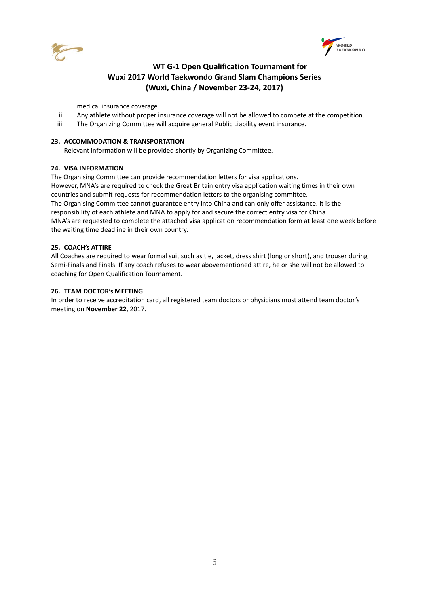



medical insurance coverage.

- ii. Any athlete without proper insurance coverage will not be allowed to compete at the competition.
- iii. The Organizing Committee will acquire general Public Liability event insurance.

#### **23. ACCOMMODATION & TRANSPORTATION**

Relevant information will be provided shortly by Organizing Committee.

#### **24. VISA INFORMATION**

The Organising Committee can provide recommendation letters for visa applications. However, MNA's are required to check the Great Britain entry visa application waiting times in their own countries and submit requests for recommendation letters to the organising committee. The Organising Committee cannot guarantee entry into China and can only offer assistance. It is the responsibility of each athlete and MNA to apply for and secure the correct entry visa for China MNA's are requested to complete the attached visa application recommendation form at least one week before the waiting time deadline in their own country.

#### **25. COACH's ATTIRE**

All Coaches are required to wear formal suit such as tie, jacket, dress shirt (long or short), and trouser during Semi-Finals and Finals. If any coach refuses to wear abovementioned attire, he or she will not be allowed to coaching for Open Qualification Tournament.

#### **26. TEAM DOCTOR's MEETING**

In order to receive accreditation card, all registered team doctors or physicians must attend team doctor's meeting on **November 22**, 2017.